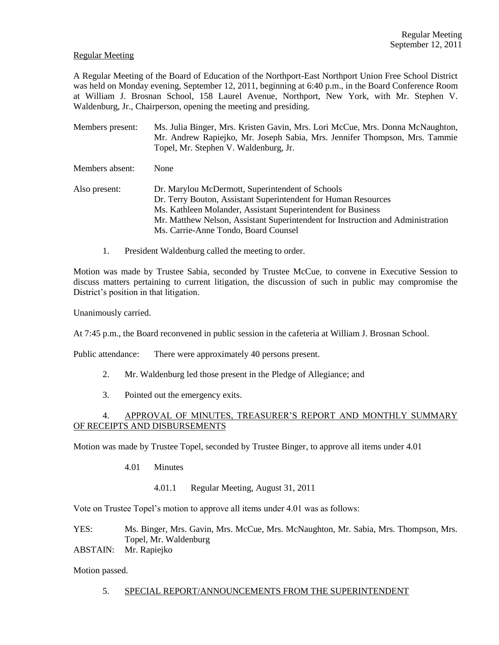### Regular Meeting

A Regular Meeting of the Board of Education of the Northport-East Northport Union Free School District was held on Monday evening, September 12, 2011, beginning at 6:40 p.m., in the Board Conference Room at William J. Brosnan School, 158 Laurel Avenue, Northport, New York, with Mr. Stephen V. Waldenburg, Jr., Chairperson, opening the meeting and presiding.

- Members present: Ms. Julia Binger, Mrs. Kristen Gavin, Mrs. Lori McCue, Mrs. Donna McNaughton, Mr. Andrew Rapiejko, Mr. Joseph Sabia, Mrs. Jennifer Thompson, Mrs. Tammie Topel, Mr. Stephen V. Waldenburg, Jr.
- Members absent: None
- Also present: Dr. Marylou McDermott, Superintendent of Schools Dr. Terry Bouton, Assistant Superintendent for Human Resources Ms. Kathleen Molander, Assistant Superintendent for Business Mr. Matthew Nelson, Assistant Superintendent for Instruction and Administration Ms. Carrie-Anne Tondo, Board Counsel
	- 1. President Waldenburg called the meeting to order.

Motion was made by Trustee Sabia, seconded by Trustee McCue, to convene in Executive Session to discuss matters pertaining to current litigation, the discussion of such in public may compromise the District's position in that litigation.

Unanimously carried.

At 7:45 p.m., the Board reconvened in public session in the cafeteria at William J. Brosnan School.

Public attendance: There were approximately 40 persons present.

- 2. Mr. Waldenburg led those present in the Pledge of Allegiance; and
- 3. Pointed out the emergency exits.

## 4. APPROVAL OF MINUTES, TREASURER'S REPORT AND MONTHLY SUMMARY OF RECEIPTS AND DISBURSEMENTS

Motion was made by Trustee Topel, seconded by Trustee Binger, to approve all items under 4.01

- 4.01 Minutes
	- 4.01.1 Regular Meeting, August 31, 2011

Vote on Trustee Topel's motion to approve all items under 4.01 was as follows:

YES: Ms. Binger, Mrs. Gavin, Mrs. McCue, Mrs. McNaughton, Mr. Sabia, Mrs. Thompson, Mrs. Topel, Mr. Waldenburg

ABSTAIN: Mr. Rapiejko

Motion passed.

5. SPECIAL REPORT/ANNOUNCEMENTS FROM THE SUPERINTENDENT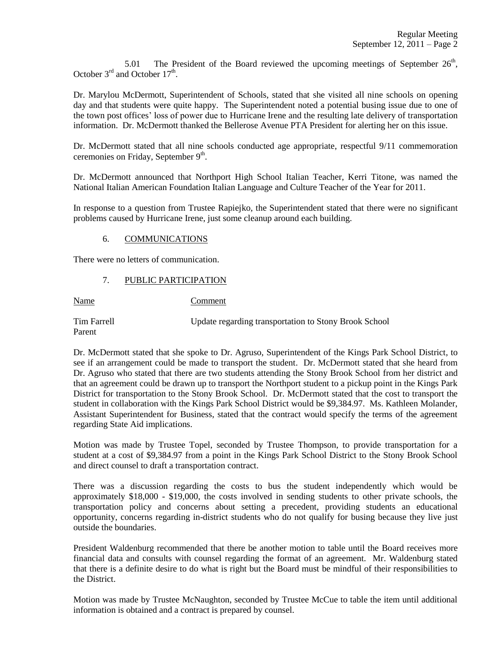5.01 The President of the Board reviewed the upcoming meetings of September  $26<sup>th</sup>$ , October  $3<sup>rd</sup>$  and October  $17<sup>th</sup>$ .

Dr. Marylou McDermott, Superintendent of Schools, stated that she visited all nine schools on opening day and that students were quite happy. The Superintendent noted a potential busing issue due to one of the town post offices' loss of power due to Hurricane Irene and the resulting late delivery of transportation information. Dr. McDermott thanked the Bellerose Avenue PTA President for alerting her on this issue.

Dr. McDermott stated that all nine schools conducted age appropriate, respectful 9/11 commemoration ceremonies on Friday, September 9th.

Dr. McDermott announced that Northport High School Italian Teacher, Kerri Titone, was named the National Italian American Foundation Italian Language and Culture Teacher of the Year for 2011.

In response to a question from Trustee Rapiejko, the Superintendent stated that there were no significant problems caused by Hurricane Irene, just some cleanup around each building.

### 6. COMMUNICATIONS

There were no letters of communication.

### 7. PUBLIC PARTICIPATION

Name Comment

Tim Farrell Update regarding transportation to Stony Brook School Parent

Dr. McDermott stated that she spoke to Dr. Agruso, Superintendent of the Kings Park School District, to see if an arrangement could be made to transport the student. Dr. McDermott stated that she heard from Dr. Agruso who stated that there are two students attending the Stony Brook School from her district and that an agreement could be drawn up to transport the Northport student to a pickup point in the Kings Park District for transportation to the Stony Brook School. Dr. McDermott stated that the cost to transport the student in collaboration with the Kings Park School District would be \$9,384.97. Ms. Kathleen Molander, Assistant Superintendent for Business, stated that the contract would specify the terms of the agreement regarding State Aid implications.

Motion was made by Trustee Topel, seconded by Trustee Thompson, to provide transportation for a student at a cost of \$9,384.97 from a point in the Kings Park School District to the Stony Brook School and direct counsel to draft a transportation contract.

There was a discussion regarding the costs to bus the student independently which would be approximately \$18,000 - \$19,000, the costs involved in sending students to other private schools, the transportation policy and concerns about setting a precedent, providing students an educational opportunity, concerns regarding in-district students who do not qualify for busing because they live just outside the boundaries.

President Waldenburg recommended that there be another motion to table until the Board receives more financial data and consults with counsel regarding the format of an agreement. Mr. Waldenburg stated that there is a definite desire to do what is right but the Board must be mindful of their responsibilities to the District.

Motion was made by Trustee McNaughton, seconded by Trustee McCue to table the item until additional information is obtained and a contract is prepared by counsel.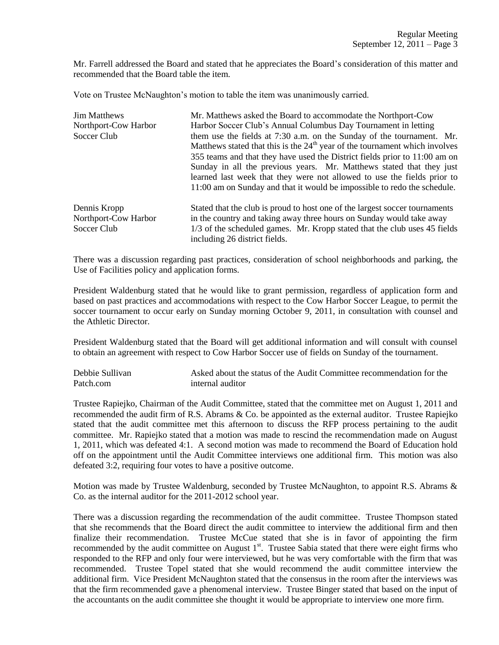Mr. Farrell addressed the Board and stated that he appreciates the Board's consideration of this matter and recommended that the Board table the item.

Vote on Trustee McNaughton's motion to table the item was unanimously carried.

| <b>Jim Matthews</b>                                 | Mr. Matthews asked the Board to accommodate the Northport-Cow                                                                                                                                                                                                                                             |
|-----------------------------------------------------|-----------------------------------------------------------------------------------------------------------------------------------------------------------------------------------------------------------------------------------------------------------------------------------------------------------|
| Northport-Cow Harbor                                | Harbor Soccer Club's Annual Columbus Day Tournament in letting                                                                                                                                                                                                                                            |
| Soccer Club                                         | them use the fields at 7:30 a.m. on the Sunday of the tournament. Mr.<br>Matthews stated that this is the $24th$ year of the tournament which involves                                                                                                                                                    |
|                                                     | 355 teams and that they have used the District fields prior to 11:00 am on<br>Sunday in all the previous years. Mr. Matthews stated that they just<br>learned last week that they were not allowed to use the fields prior to<br>11:00 am on Sunday and that it would be impossible to redo the schedule. |
| Dennis Kropp<br>Northport-Cow Harbor<br>Soccer Club | Stated that the club is proud to host one of the largest soccer tournaments<br>in the country and taking away three hours on Sunday would take away<br>1/3 of the scheduled games. Mr. Kropp stated that the club uses 45 fields<br>including 26 district fields.                                         |

There was a discussion regarding past practices, consideration of school neighborhoods and parking, the Use of Facilities policy and application forms.

President Waldenburg stated that he would like to grant permission, regardless of application form and based on past practices and accommodations with respect to the Cow Harbor Soccer League, to permit the soccer tournament to occur early on Sunday morning October 9, 2011, in consultation with counsel and the Athletic Director.

President Waldenburg stated that the Board will get additional information and will consult with counsel to obtain an agreement with respect to Cow Harbor Soccer use of fields on Sunday of the tournament.

Debbie Sullivan Asked about the status of the Audit Committee recommendation for the Patch.com internal auditor

Trustee Rapiejko, Chairman of the Audit Committee, stated that the committee met on August 1, 2011 and recommended the audit firm of R.S. Abrams & Co. be appointed as the external auditor. Trustee Rapiejko stated that the audit committee met this afternoon to discuss the RFP process pertaining to the audit committee. Mr. Rapiejko stated that a motion was made to rescind the recommendation made on August 1, 2011, which was defeated 4:1. A second motion was made to recommend the Board of Education hold off on the appointment until the Audit Committee interviews one additional firm. This motion was also defeated 3:2, requiring four votes to have a positive outcome.

Motion was made by Trustee Waldenburg, seconded by Trustee McNaughton, to appoint R.S. Abrams  $\&$ Co. as the internal auditor for the 2011-2012 school year.

There was a discussion regarding the recommendation of the audit committee. Trustee Thompson stated that she recommends that the Board direct the audit committee to interview the additional firm and then finalize their recommendation. Trustee McCue stated that she is in favor of appointing the firm recommended by the audit committee on August  $1<sup>st</sup>$ . Trustee Sabia stated that there were eight firms who responded to the RFP and only four were interviewed, but he was very comfortable with the firm that was recommended. Trustee Topel stated that she would recommend the audit committee interview the additional firm. Vice President McNaughton stated that the consensus in the room after the interviews was that the firm recommended gave a phenomenal interview. Trustee Binger stated that based on the input of the accountants on the audit committee she thought it would be appropriate to interview one more firm.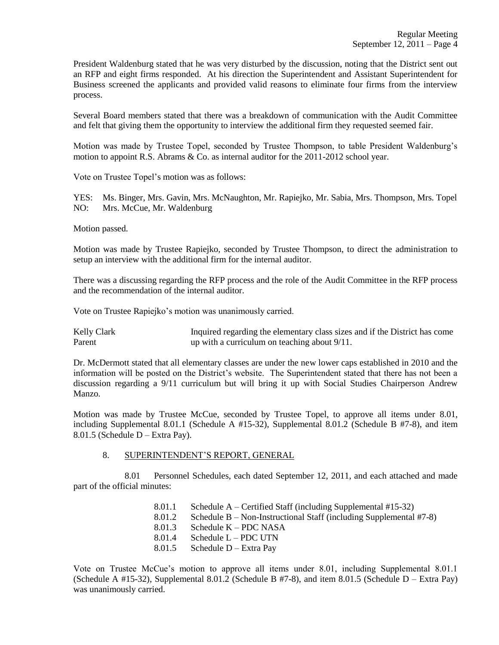President Waldenburg stated that he was very disturbed by the discussion, noting that the District sent out an RFP and eight firms responded. At his direction the Superintendent and Assistant Superintendent for Business screened the applicants and provided valid reasons to eliminate four firms from the interview process.

Several Board members stated that there was a breakdown of communication with the Audit Committee and felt that giving them the opportunity to interview the additional firm they requested seemed fair.

Motion was made by Trustee Topel, seconded by Trustee Thompson, to table President Waldenburg's motion to appoint R.S. Abrams & Co. as internal auditor for the 2011-2012 school year.

Vote on Trustee Topel's motion was as follows:

YES: Ms. Binger, Mrs. Gavin, Mrs. McNaughton, Mr. Rapiejko, Mr. Sabia, Mrs. Thompson, Mrs. Topel NO: Mrs. McCue, Mr. Waldenburg

Motion passed.

Motion was made by Trustee Rapiejko, seconded by Trustee Thompson, to direct the administration to setup an interview with the additional firm for the internal auditor.

There was a discussing regarding the RFP process and the role of the Audit Committee in the RFP process and the recommendation of the internal auditor.

Vote on Trustee Rapiejko's motion was unanimously carried.

Kelly Clark Inquired regarding the elementary class sizes and if the District has come Parent up with a curriculum on teaching about 9/11.

Dr. McDermott stated that all elementary classes are under the new lower caps established in 2010 and the information will be posted on the District's website. The Superintendent stated that there has not been a discussion regarding a 9/11 curriculum but will bring it up with Social Studies Chairperson Andrew Manzo.

Motion was made by Trustee McCue, seconded by Trustee Topel, to approve all items under 8.01, including Supplemental 8.01.1 (Schedule A #15-32), Supplemental 8.01.2 (Schedule B #7-8), and item 8.01.5 (Schedule D – Extra Pay).

#### 8. SUPERINTENDENT'S REPORT, GENERAL

8.01 Personnel Schedules, each dated September 12, 2011, and each attached and made part of the official minutes:

> 8.01.1 Schedule A – Certified Staff (including Supplemental #15-32) 8.01.2 Schedule B – Non-Instructional Staff (including Supplemental #7-8) 8.01.3 Schedule K – PDC NASA 8.01.4 Schedule L – PDC UTN 8.01.5 Schedule D – Extra Pay

Vote on Trustee McCue's motion to approve all items under 8.01, including Supplemental 8.01.1 (Schedule A #15-32), Supplemental 8.01.2 (Schedule B #7-8), and item 8.01.5 (Schedule D – Extra Pay) was unanimously carried.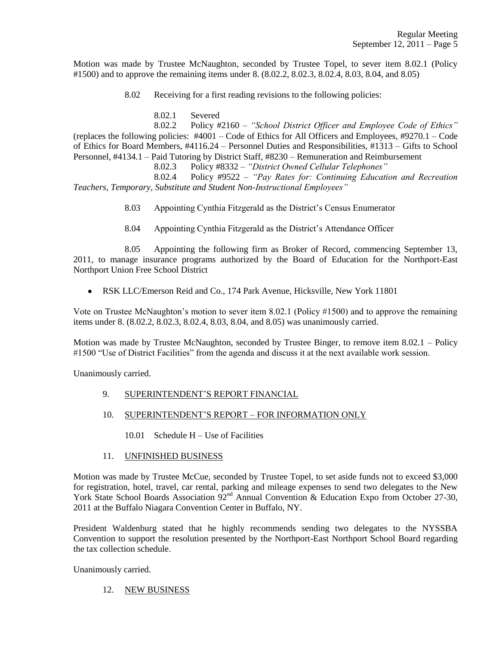Motion was made by Trustee McNaughton, seconded by Trustee Topel, to sever item 8.02.1 (Policy #1500) and to approve the remaining items under 8. (8.02.2, 8.02.3, 8.02.4, 8.03, 8.04, and 8.05)

8.02 Receiving for a first reading revisions to the following policies:

8.02.1 Severed

8.02.2 Policy #2160 – *"School District Officer and Employee Code of Ethics"* (replaces the following policies: #4001 – Code of Ethics for All Officers and Employees, #9270.1 – Code of Ethics for Board Members, #4116.24 – Personnel Duties and Responsibilities, #1313 – Gifts to School Personnel, #4134.1 – Paid Tutoring by District Staff, #8230 – Remuneration and Reimbursement

8.02.3 Policy #8332 – *"District Owned Cellular Telephones"*

8.02.4 Policy #9522 – *"Pay Rates for: Continuing Education and Recreation Teachers, Temporary, Substitute and Student Non-Instructional Employees"*

8.03 Appointing Cynthia Fitzgerald as the District's Census Enumerator

8.04 Appointing Cynthia Fitzgerald as the District's Attendance Officer

8.05 Appointing the following firm as Broker of Record, commencing September 13, 2011, to manage insurance programs authorized by the Board of Education for the Northport-East Northport Union Free School District

RSK LLC/Emerson Reid and Co., 174 Park Avenue, Hicksville, New York 11801  $\bullet$ 

Vote on Trustee McNaughton's motion to sever item 8.02.1 (Policy #1500) and to approve the remaining items under 8. (8.02.2, 8.02.3, 8.02.4, 8.03, 8.04, and 8.05) was unanimously carried.

Motion was made by Trustee McNaughton, seconded by Trustee Binger, to remove item 8.02.1 – Policy #1500 "Use of District Facilities" from the agenda and discuss it at the next available work session.

Unanimously carried.

- 9. SUPERINTENDENT'S REPORT FINANCIAL
- 10. SUPERINTENDENT'S REPORT FOR INFORMATION ONLY
	- 10.01 Schedule H Use of Facilities
- 11. UNFINISHED BUSINESS

Motion was made by Trustee McCue, seconded by Trustee Topel, to set aside funds not to exceed \$3,000 for registration, hotel, travel, car rental, parking and mileage expenses to send two delegates to the New York State School Boards Association 92<sup>nd</sup> Annual Convention & Education Expo from October 27-30, 2011 at the Buffalo Niagara Convention Center in Buffalo, NY.

President Waldenburg stated that he highly recommends sending two delegates to the NYSSBA Convention to support the resolution presented by the Northport-East Northport School Board regarding the tax collection schedule.

Unanimously carried.

12. NEW BUSINESS